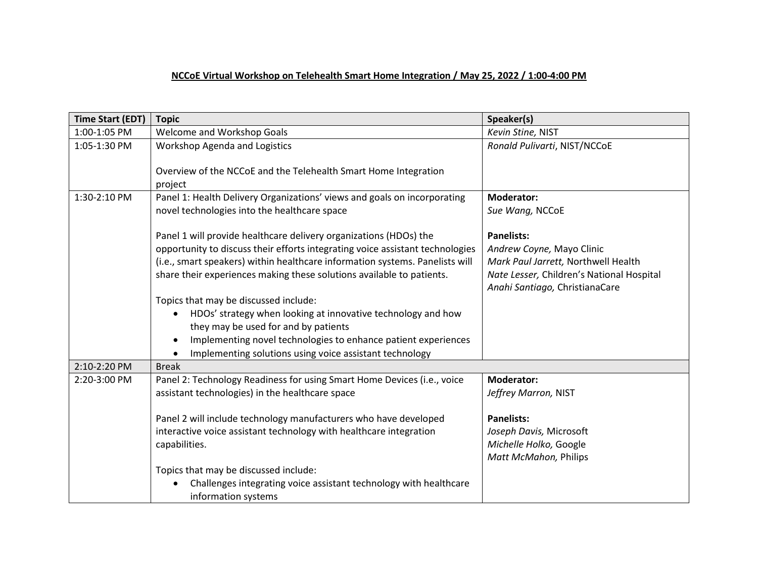## **NCCoE Virtual Workshop on Telehealth Smart Home Integration / May 25, 2022 / 1:00-4:00 PM**

| <b>Time Start (EDT)</b> | <b>Topic</b>                                                                                                                                                                                                                                                                                                | Speaker(s)                                                                                                                                                           |
|-------------------------|-------------------------------------------------------------------------------------------------------------------------------------------------------------------------------------------------------------------------------------------------------------------------------------------------------------|----------------------------------------------------------------------------------------------------------------------------------------------------------------------|
| 1:00-1:05 PM            | <b>Welcome and Workshop Goals</b>                                                                                                                                                                                                                                                                           | Kevin Stine, NIST                                                                                                                                                    |
| 1:05-1:30 PM            | <b>Workshop Agenda and Logistics</b><br>Overview of the NCCoE and the Telehealth Smart Home Integration                                                                                                                                                                                                     | Ronald Pulivarti, NIST/NCCoE                                                                                                                                         |
|                         | project                                                                                                                                                                                                                                                                                                     |                                                                                                                                                                      |
| 1:30-2:10 PM            | Panel 1: Health Delivery Organizations' views and goals on incorporating<br>novel technologies into the healthcare space                                                                                                                                                                                    | <b>Moderator:</b><br>Sue Wang, NCCoE                                                                                                                                 |
|                         | Panel 1 will provide healthcare delivery organizations (HDOs) the<br>opportunity to discuss their efforts integrating voice assistant technologies<br>(i.e., smart speakers) within healthcare information systems. Panelists will<br>share their experiences making these solutions available to patients. | <b>Panelists:</b><br>Andrew Coyne, Mayo Clinic<br>Mark Paul Jarrett, Northwell Health<br>Nate Lesser, Children's National Hospital<br>Anahi Santiago, ChristianaCare |
|                         | Topics that may be discussed include:<br>HDOs' strategy when looking at innovative technology and how<br>they may be used for and by patients<br>Implementing novel technologies to enhance patient experiences<br>Implementing solutions using voice assistant technology                                  |                                                                                                                                                                      |
| 2:10-2:20 PM            | <b>Break</b>                                                                                                                                                                                                                                                                                                |                                                                                                                                                                      |
| 2:20-3:00 PM            | Panel 2: Technology Readiness for using Smart Home Devices (i.e., voice<br>assistant technologies) in the healthcare space<br>Panel 2 will include technology manufacturers who have developed<br>interactive voice assistant technology with healthcare integration                                        | <b>Moderator:</b><br>Jeffrey Marron, NIST<br><b>Panelists:</b><br>Joseph Davis, Microsoft                                                                            |
|                         | capabilities.                                                                                                                                                                                                                                                                                               | Michelle Holko, Google<br>Matt McMahon, Philips                                                                                                                      |
|                         | Topics that may be discussed include:<br>Challenges integrating voice assistant technology with healthcare<br>information systems                                                                                                                                                                           |                                                                                                                                                                      |